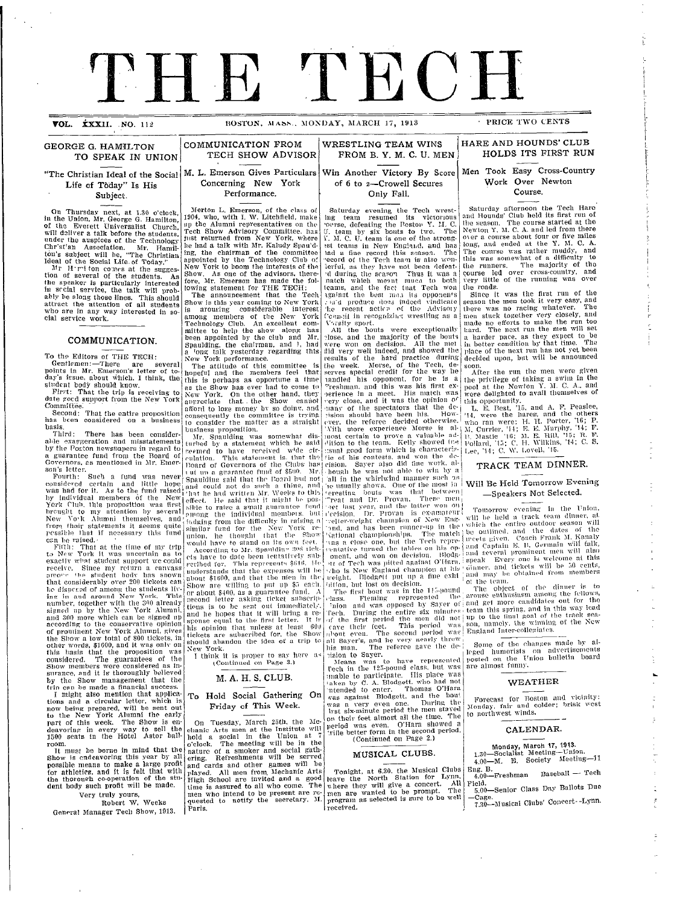# THE TECH

**VOL. XXXII. NO. 112 BOSTON. MASS., MONDAY, MARCH 17, 1913** 

**HARE AND HOUNDS' CLUB HOLDS ITS FIRST RUN** 

**GEORGE G. HAMILTON COMMUNICATION FROM TO SPEAK IN JINION TECH SHOW ADVISOR** TO SPEAK IN UNION

# Life of Today" Is His<br>Subject.

in the Union, Mr. George G. Hamilton,  $|1904$ , who, with I. W. Litchfield, make<br>of the Everett Universalist Church,  $|1004$ , who, with I. W. Litchfield, make<br>of the Everett Universalist Church,  $|$  Tech Show Advisory Comm

tion of several of the students. As Show. As one of the advisors, there-<br>the speaker is particularly interested fore, Mr. Emerson has made the folin sectal service, the talk will prob- lowing statement for THE TECH.

To the Editors of THE TECH:

Gentlemen:—There are several The attitude of this committee is points in Mr. Emerson's letter of to- hopeful and the members feel that<br>day's itsue, about which. I think, the this is perhaps as opportune a time

student body should know.<br>First: That the trip is receiving to<br>date good support from the New York<br>Committée.

has been considered on a business  $\frac{1}{10}$  consider the matter as a straight

basis.<br>Third: There has been consider-<br>alile exaggeration and misstatements turbed by a statement which he said by the Poston newspapers in regard to  $\begin{bmatrix} 0 & 0 \\ 0 & 0 \end{bmatrix}$  a statement when  $\begin{bmatrix} 0 & 0 \\ 0 & 0 \end{bmatrix}$ a guarantee fund from the Board of eulation. This statement is, that the<br>Governors, as mentioned in Mr. Emer. Board of Governors of the Clubs has<br>son's letter.

considered certain and little hope spautaing said that the route not do<br>was had for it. As to the fund raised in a bad not do such a this and<br>was had for it. As to the fund raised in the had written Mr. Weeks to this by individual members of the New effect. He said that it might be pos-<br>York Club, this proposition was first sille to raise a small guarantee fund lable to my attention by several sible to raise a small guarantee into<br>New Yo'k Alumni themselves, and <sup>2</sup> mong the individual members, bu<br>from their statements it seems quite similar fund for the New York pessible that if necessary this fund similar tund for the New York re-<br>gradition in the state of the thought hat the Show<br>can be raised.

Fifth: That at the time of my trip **Ao** rhli have **g** to stalnnd on itills own fie.  $t_0$  New York it was uncertain as to According to Mr. Spaulding 308 ticles New York it was uncertain as to  $\left| \frac{1}{\cos \theta} \right|$  and a data heen tentatively sulf exactly what student support we could ets have to date been tentatively sub-<br>receive. Since my return a canvass revibed for. This represents \$616, He<br>receive. Since my return a canvass mid-restands that the expenses will b that considerably over 200 tickets can  $\frac{a}{c}$ le dispected of among the students liv- Show are willing to put up as each live dispected of among the students livino fNew **in and around** York. This or abouit \$400, as a guarantee flend. A of prominent New York Andmin, sives<br>the Show a low total of 800 tickets, in should abandon the idea of a trip t<br>other words, \$1600, and it was only on starts and abandon the idea of a trip t this basis that the proposition was New York.<br>
considered. The guarantees of the I think it is proper to say here<br>
considered. The guarantees of the Continued on Page 3.)<br>
surance, and it is thoroughly believed<br>
by the Sh

Frincan be made a financial success.<br>
I might also mention that applica-<br>
tions and a circular letter, which is<br>
now being prepared, will be sent out<br>
to the New York Alumni the early<br>
part of this week. The Show is en-<br>
o deavoring in every way to sell the chanic Arts men at the Institute will<br>1500 seats in the Hotel Astor ball hold a social in the Union at 7

possible means to make a large profit and cards and other games will be for athletics, and it is felt that with played. All men from Mechanic Arts 1500 seats in the **thorough action**<br>
The must be berne in mind that the<br>
Show is endeavoring this year by all<br>
possible means to make a large profit<br>
for athletics, and it is felt that with<br>
the thorough cooperation of the dent body such profit will be made.  $\lim_{\text{time}}$  is assured to all who come. The

Very truly yours,<br>Robert W. Weeks<br>General Manager Tech Show, 1913.

I

 $\bar{a}$ 

#### **WRESTLING TEAM WINS** FROM B. Y. M. C. U. MEN

of 6 to 2-Crowell Secures<br>Only Fall.

"The Christian Ideal of the Social M. L. Emerson Gives Particulars Life of Today" Is His Concerning New York Win Another Victory By Score

Performance.

Merton L. Emerson, of the class of 1904, who, with I. W. Litchfield, make up the Alumni representatives on the ton's subject will he, "The Christian ing, the chairman of the committee deal of the Social Life of Today." Mr. H  $\gamma$  ton comes at the sugges- New York to boom the interests of the

ably be along those lines. This should are announcement that the Tech attract the attention of all students show is this year coming to New York who are in any way interested in so is anough members of the New York clal se **COMMUNICATION.**  $\begin{bmatrix} \text{been appointed by the club and Mr.} \\ \text{Spaulding, the chairman, and 1, had} \\ \text{a long talk yesterday regarding this} \end{bmatrix}$ 

student body should know.  $\begin{cases} \n\frac{\ln n}{n} & \text{is bounded in } n \text{ and } n \text{ is given} \\
\text{as the Show has ever had to come to} \n\end{cases}$ First: That the trip is receiving to  $\begin{bmatrix} 85 \\ \text{New York} \end{bmatrix}$  On the other hand, they mmittee.<br>Second: That the entire proposition consequently the committee is trying

**Fourth:** Such a fund was never shandling said that the Poard had not ing from the dimenty in taising a<br>lar fund for the New York, re-

room. **o'clock.** The meeting will be in the It must be borne in mind that the nature of a smoker and social gath-<br>Show is endeavoring this year by all ering. Refreshments will be served Very truly yours,  $\begin{array}{ccc} \hline \text{men who intend to be present are re-$ Robert W. Weeks  $q$ uested to notify the secretary, M.

Saturday evening the Tech wrest-<br>
ing team resumed its victorious and Hounds' Clu<br>
coverse, defeating the Poston Y. L. C. the season. The<br>
J. team by six bouts to two. The Newton Y. M. C.<br>
X. M. C. U. team is one of the s est teams in New England, and has long, and ende lad a fine record this season. The The course wa, ecord of the Tech team is also won-<br>'ecord of the Tech team is also won-<br>'erful, as they have not been defeatd during the scason Thus it was a course led over<br>natch which mesut much to both very little of th leams, and the fact that Tech won the roads.<br>1gainst the best men its opponents Since it was  $\begin{array}{c} \text{and} \quad \text{product} \quad \text{index} \quad \text{index} \quad \text{index} \quad \text{index} \quad \text{index} \quad \text{index} \quad \text{index} \quad \text{index} \quad \text{index} \quad \text{index} \quad \text{index} \quad \text{index} \quad \text{index} \quad \text{index} \quad \text{index} \quad \text{index} \quad \text{index} \quad \text{index} \quad \text{index} \quad \text{index} \quad \text{index} \quad \text{index} \quad \text{index} \quad \text{index} \quad \text{index} \quad \text{index} \quad \text{index} \quad \text{index} \quad \text{index$  $\tt{cm\ddot{}}$ iin re $\tt{cogniz}$ ing wrestling as a $\tt{cm}$  men stuck toge

V'-.sity sport. **made** no efforts All the bouts were exceptionally hard. The next rlose, and the majority of the bouts a harder pace,<br>were won on decision. All the me1 in better condit:<br>did very well indeed, and showed the place of the nex esults of the hard practice during decided upon, b the week. Morse, of the Tech, de- $\vert$  soon.<br>serves special credit for the way he After the ru iandled his opponent, for he is a the privilege of "reshman, and this was his first ex- pool at the Ne<br>perience in a meet. His match was were delighted<br>yery close, and it was the opinion o<sup>r</sup> this opportunity The spectators that the dc. I. E. Best, '1<br>
1980 should have been list. However, the referee decided otherwise.<br>
With more experience decided otherwise.<br>
Number experience Mores is al. M. Currier, '14;<br>
1981 into the team all in the whirlwind manner such as<br>
ic usually shows. One of the most in | Will Be Held<br>
icresting bouts was that between<br>
Treat and Dr. Provan, These men<br>
ore last year, and the latter won ou<br>
icrestian. Dr. Provan is e and, and has been runner-up in the which the entire<br>various a close one, but the Tech repeating the outlined, and<br>vas a close one, but the Tech repeating the close of the close of the<br>close turned the tables on his open a tt of Tech was pitted against O'Hara. speak Eevery C<br>ho is New England champion at his uimer, and tic

weight. Blodgelt put up a fine exhi and may be of<br>lition, but lost on decision.<br>The first bout was in the 115-pound The object<br>lass. Fleming represented the arouse enthusia Thion and was opposed by Sayer of and get more<br>rech. During the entire six minutes team this sprint<br>of the first period the men did not up to the final<br>cave their feet. This period was son, namely, the<br>distance with the se

Means was to have represented posted on the<br>rech in the 125-pound class, but was are almost funr mable to participate. His place was<br>
disken by C. A. Blodgett, who had not W.<br>
mea against Blodgett, and the bout<br>
was against Blodgett, and the bout Forecast for<br>
was a very even one. During the Forecast for  $\frac{1}{100}$  is six-minute period the men staved  $\frac{1}{100}$  for northwest on their feet almost all the time. The <sup>to</sup> horth research period, was even. O'Hara showed a 'rifle better form in the second period, **CA** 

#### MUSICAL CLUBS.

Tonight, at 6.30, the Musical Clubs  $\begin{bmatrix} \text{Eng. B.} \\ \text{leave the North Station for Lynn} \end{bmatrix}$  4.00-Freshi where they will give a concert. All Field. men are wanted to be prompt. The  $\begin{array}{c} 5.00 - \text{Senior} \\ \text{program as selected is sure to be well} \\ \end{array}$ received. 7.30—Nusica

#### **Only Fall. C** Men Took Easy Cross-Country Work Over Newton Course.

 $\frac{1}{k}$ rI

> i<br>I i-I-

> > i-

rech Hare<br>ub held its first run of<br>e course started at the<br>pout four or five miles<br>at at the Y. M. C. A.<br>at the Y. M. C. A.<br>s rather muddy, and<br>that of a difficulty to The majority of the<br>er cross-country, and<br>he running was over

the first run of the<br>took it very easy, and<br>acing whatever. The Iher very closely, and<br>s to make the run too t run the men will set as they expect to be ion by that time. The xt riun has not yet been decided upon, but will be announced

After the run the men were given taking a swim in the<br>wton Y. M. C. A., and<br>to avail themselves of

15, and A. F. Peaslee,<br>
11. H. Porter, '16; P.<br>
E. E. Murphy, '14; F.<br>
E. H. Mulr, '15; R. F.<br>
H. Wilkins, '14; C. S. Lovell, '15.

#### TRACK TEAM DINNER.

Will Be Held Tomorrow Evening -Speakers Not Selected.

ening in the Union, track team dinner, at<br>re outdoor season will d the dates of the<br>'oach-Frank M. Kanaly . B. Germain will talk,<br>ominent men will also one is wvelcome at tills kets will be 50 cents,<br>stained from members

of the dinner is to<br>asm among the fellows,<br>eandidates out for the<br>goal of the track sea-<br>goal of the track sea-<br>new willing of the New<br>collegiates.

<sub>c</sub>hanges made by alts on advertisements<br>- Union bulletin board ny.

#### **EATHER**

Boston and vicinity: and colder; Ibrisk v;est 'inds.

#### **LENDAR.**

**Monday. Monday 2.1.1.**  $4.00-M.$  **E.** , March 17, 1913.<br>it Meeting—Union.<br>Society Meeting—11  $\begin{array}{l} \text{Eng. B.} \\ 4.00 - \text{Freshman} \end{array}$  Baseball - Tech

Class Day Ballots Due

7.30-Nusical Clubs' Concert--Lynn.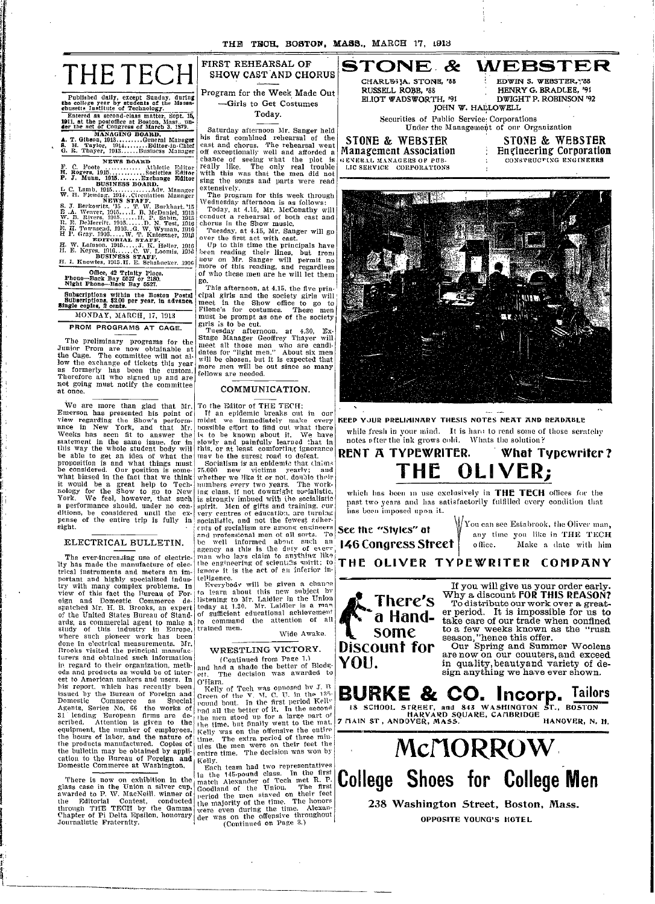

I

4**IL**

.I I i

Published daily, except Sunday, during the college year by students of **the** Massa-chusetts Institute of Technology. Entered as second-class matter, Sept. **15, 1911, at the** postoffice at Boston, Mass.. un- der the set of Congress of March 3. 1879.

**MANAGING BOARD. A. T. Gibson, 1913** ......... **General Maunger S. H. Taylor,** 1914 ........ **Editor-in-Chief** G. R. Thayer, 1913 ...... Business Manager

NEWS **BOARD** F. C. Foote ............. thletic E'ditor H. Rogers, 1915 ............ Societies Editor **P. J. Munn, 1915 ........ Exchange Editor BUSINESS BOARD.** L C. Lamb, 1915 ............. Adv. .Manager W. H. Fleming. 1914..Circulation Manager NEWS STAFF. S. T. Berkowitz, '15 .. T. W. Burlkhart. '15 E .A. Weaver, 1915 ... I. B. McDaniel, 1915 W. B. Rivers. 1915 . ...... P. Sabin, 1915 R. E. DeMerritt. 1910 ...... D. N. Test, 1916 E. H. 'own'send. 1916..G. W. Wyman, 1916 H l'. Gray. 1916 ..... W. T. IKnices7zner, 191} **EDITORIAL** STAFF. H. W. Lainson. 1915 ......T. K. Heller, 1916 H. E. Keyes. 1916 ...... C. W. Loomis, 1916 **BUSINESS STAFF. HI.** I. Knowles, 1915.I. E. Scmhabacker. 1916

**Office, 42 Trinity Place. Phone-Back Bay 5527 or 2180. Night Phone-Back Bay 5527.**

**Subscriptions within the Boston Postal Stibscriptions. \$2.00 per year, In advance, Single copies,** 2 **cents.** MONDAY, MARCH, 17, 1913

**PROM** PROGRAMS AT **CAGE.**

The preliminary programs for the Junior Prom are now obtainable at the Cage. The committee will not allow the exchange of tickets this year as formerly has been the custom. Therefore all who signed up and are not going must notify the committee -at once.

We are more than glad that Mr.<br>Emerson has presented his point of<br>view regarding the Show's perform-<br>ance in New York, and that Mr.<br>Weeks has seen fit to answer the<br>statement in the same issue, for in<br>this way the whole st be able to get an idea of what the prolposition is and what things must be considered. Our position is some-what biased in the fact that we think it would be a great help to Tech.<br>nology for the Show to go to New<br>York. We feel, however, that such a performance should, under no con-<br>ditions, be considered until the ex-<br>pense of the entire trip is fully in sight.

#### ELECTRICAL BULLETIN.

The ever-increasing use of electricity has made the manufacture of electrical instruments and meters an Im-portant and highly specialized indus-try with many complex problems. In view of this fact the Bureau of For-eign and Domestic Commerce de-spatched Mr. H. B. Brooks, an expert of the United States Bureau of Stand-<br>ards, as commercial agent to make a ards, as commercial agent to make a<br>study of this industry in Europe, where such pioneer work has been! Wide Awake. done in electrical measurements. Mr.<br>Brooks visited the principal manufac. WRESTLING VICTORY. turers and obtained such information  $($  Continued from Page 1. in regard to their organization, meth-  $\vert$  and had a shade the better of Blodgods and products as would be of inter- $\begin{vmatrix}$  and natural decision was awarded to est to American makers and users. In the and a shade the better of Blodges<br>ods and products as would be of inter-<br>et t. The decision was awarded to<br>est to American makers and users. In O'Hara.<br>Its report, which has recent his report. which has recently been  $\begin{bmatrix} 0 & \text{Hara.} \\ \text{Kelly of} \\ \text{Solved by} \\ \text{Domestic} \end{bmatrix}$  C. D. in the 125-<br>Issued by the Bureau of Foreign and Green of the V. M. C. U. in the 125-<br>Domestic Commerce as Special <sub>pound</sub> bout. In Agents, Series No. 66 the works of  $\frac{1}{100}$  all the better of it. In the second the bulletin may be obtained by appli-<br>and entire time. The decision was won by cation to the Bureau of Foreign and Kelly.<br>Domestic Commerce at Washington.  $\begin{bmatrix}Kelly. \\ Edn. \end{bmatrix}$  Each team had two representatives Domestic Commerce at Washington.  $\begin{bmatrix} \kappa_{\text{E1}} \\ E_{\text{R}} \\ \kappa_{\text{R}} \end{bmatrix}$  team had two representatives

1---~------ --------·------ ------ ---

## FIRST REHEARSAL OF SHOW CAST AND CHORUS

Program for the Week Made Out -Girls to Get Costumes

#### Today.

Saturday afternoon Mr. Sanger held his first combined rehearsal of the cast and chorus. The rehearsal went off exceptionally well and afforded a chance of seeing what the plot is really like. The only real trouble with this was that the men did not sing the songs and parts were read extensively.

The program for this week through Wednesday afternoon is as follows: Today, at 4.15, Mr. McConathy will ccnduct a rehearsal of both cast and chorus **in** the Show music.

Tuesday, at 4.15, Mr. Sanger will go<br>over the first act with cast.<br>Up to this time the principals have

I)een reading their lines, but from now on Mr. Sanger will permit no more of this reading, and regardless of who these men are he will let them

go. This afternoon, at 4.15, the five principal girls and the society girls will meet in the Show office to go to Filene's for costumes. These men must be prompt as one of the society

girls is to be cut. Tuesday afternoon. at 4.30, Ex-Stage Manager Geoffrey Thayer will meet all those men who are candi-dates for "light men." About six men will be chosen, but it is expected that more men will be out since so many fellows are needed.

#### COMMUNICATION.

To the Editor of THE TECH:

If an epidemic breaks out in our midst we immediately make every rossible effort to find out what there is to be known about it. We have slowly and painfully learned that in this, or at least comforting ignorance may be the surest road to defeat.

Socialism is an epidemic that claims<br>5.000 new victims yearly; and 75.000 new victims yearly; and<br>whether we like it or not, double their numbers every two years. The work-ing class. if not downright socialistic, is stronglv imbued with the socialistic spirit. Men of gifts and training. eur very centres of educatibt, are turning socialistic, and not the fewest adher<br>ents of socialism are among engineers<br>and professional men ot all sorts. 'Te be well informed about such an agency as this is the duty of every man who lays claim to anything like ithe engineering of scientifis spirit; to ianore it is the act of an inferior intelligence.

Everybody will be given a cbanae to learn about this new subject by listening to Mr. Laidler in the Union<br>today at 1.30. Mr. Laidler is a mar of sufficient educational achievement to command the attention of all trained men.

31 leading European firms are de-<br>scribed. Attention is given to the the men stood up for a large part of equipment, the number of employees,  $\kappa_{\text{EUV}}$  was on the offensive the entire the hours of labor, and the nature of time. The extra period of three min-<br>the products manufactured. Copies of unes the men were on their feet the the bulletin may be obtained by appli-  $\vert$  entire time. The decision was won by

There is now on exhibition in the last and class. In the urst<br>glass case in the Union a silver cup. Goodland of the Union. The first<br>awarded to P. W. MacNeill. winner of Goodland of the Union. The first<br>the Editorial Cont

**STONE. & WEBSTER CHARLE'I3A. STONE, '83 RUSSELL ROBB, '88** ELIOT WADSWQRTH, '91 JOHN W. HALLOWELL

**STONE** & WEBSTER

**EDWIN S. WEBSTER, \*\*\* 88** HENRY **G. BRADtEE, '91** DWIGHT P. ROBINSON '92

Securities of Public Service: Corporations Under the Management of our Organization

> STONE & **WEBSTER** Engineering Corporation



KeeP **YJUR PRELIMINARY THESIS NOTeS NEAT AND READABLE** while fresh in your mind. It is hard to read some of those scratchy notes after the ink grows cold. Whats the solution?

## **RENT A TYPEWRITER. What Typewriter? THE OLIVER;**

which has been in use exclusively in THE TECH offices for the past two years and has satisfactorily fulfilled every condition that Iaes beeni imnposed **upOn** it.

**146 Congress Street**  $\vert$  office.

**See the "Styles" at**  $\sqrt{\frac{1}{\text{Cov}}}$  **four can see Estabrook, the Oliver man,** any time you like in THE TECH office. Make a date with him

**THE OLIVER TYPEWRITER COMPANY**



If you will give us your order early. Why a discount **FOR THIS REASON?** To distribute our work over a greater period. It is impossible for us to take care of our trade when confined to a few weeks known as the "rush season, "hence this offer.

Our Spring and Summer Woolens are now on our counters, and exceed in quality,beautyand variety of design anything we have ever shown.



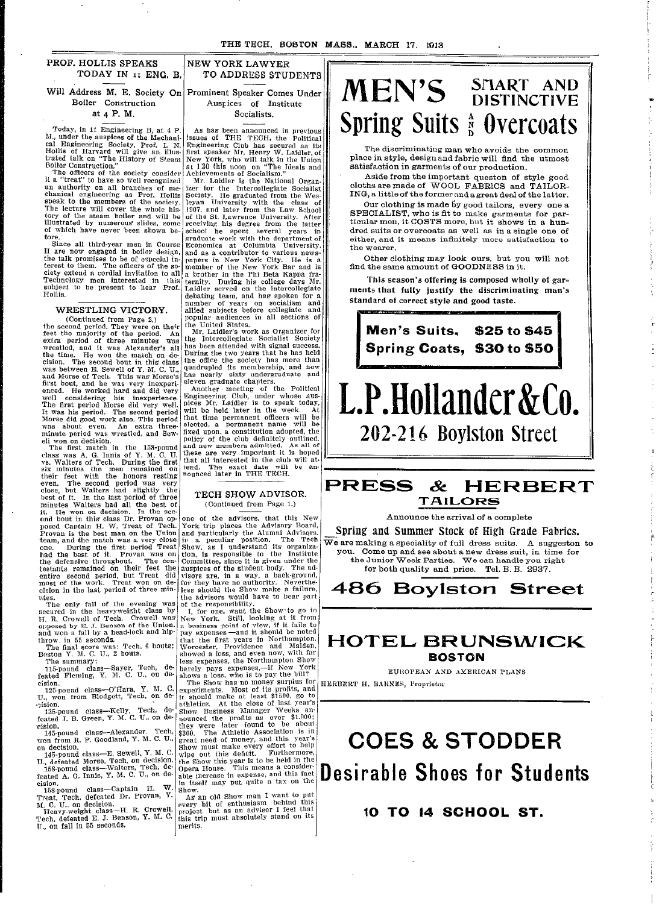I

I

I

| PROF. HOLLIS SPEAKS | NEW YORK LAWYER |
|---------------------|-----------------|
| TODAY IN II ENG. B. | TO ADDRESS STUI |

Will Address M. E. Society On Prominent Speaker Comes Unde Boiler Construction

at 4 P. M.

Today, in 11 Engineering B, at 4 P. M., under the auspices of the Mechanical Engineering Society, Prof. I. N.<br>Hollis of Harvard will give an illus-<br>trated talk on "The History of Steam<br>Boiler Construction."<br>The officers of the society consider<br>it a "treat" to have so well recognized I

an authority on all branches of me- chanical engineering as Prof. Hollis speak to the members of the society. The lecture will cover the whole his-tory of the steam boiler and wvill be illustrated by numerous slides, some of which have never been shown before.

Since all third-year men in Course II are now engaged in boiler design, the talk promises to be of espcial in-terest to them. The officers of the society extend a cordial invitation to all Technclogy men interested in l his subject to be present to hear Prof. Hollis.

### WRESTLING VICTORY.

(Continued from Page 2.) the second period. They were on their feet the majority of the period. An extra period of three minutes was wrestled, and it was Alexander's all the time. He won the match on de-cision. The second bout in this class was between E. Sewell of Y. M. C. U., and Morse of Tech. This was Morse's first bout, and he was very inexperi-enced. He worked hard and did very well considering his inexperience. The first period Morse did very well. It was his period. The second period Morse did good work also. This period was about even. An extra three-minute period was wrestled, and Sew-

eli won on decision. The first match in the 158-pound class was A. G. Innis of Y. M. C. U. vs. Walters of Tech. During the first six minutes the men remained on their feet with the honors resting even. The second period was very close, but Walters had slightly the best of it. In the last period of three minutes Walters had all the best of it. He won on decision. In the sec- ond bout in this class Dr. Provan opposed Captain H. W. Treat of Tech. Provan is the best man on the Union team, and the match was a very close one. During the first period Treat had the best of it. Provan was on the defensive throughout. The contestants remained on their feet the entire second period, but Treat did most of the work. Treat won on decision in the last period of three min-<br>
utes.

utes.<br>The only fall of the evening was secured in the heavyweight class by<br>H. R. Crowell of Tech. Crowell was belowed by E. J. Benson of the Union. throw. in 55 seconds.<br>The final score was: Tech, 6 bouts;  $\begin{bmatrix} t \\ 1 \end{bmatrix}$ 

 $\begin{array}{c|c}\n\text{ Boston Y. M. C. U., 2 bouts.} \\
\text{The summary:} \\
\end{array}$ 

115-pound class-Sayer, Tech, de-<br>feated Fleming, Y. M. C. U., on de- sl cision.

125-pound class-O'Hara, Y. M. C.<br>U., won from Blodgett, Tech, on de-

.ision. 135-pound class-Kelly, Tech, defeated J. B. Green, Y. M. C. U., on de-  $\frac{1}{n}$ 

cision.<br>
145-pound class--Alexander. Tech,  $\begin{bmatrix} t \\ s \\ s \\ w$  and from R. P. Goodland, Y. M. C. U.,  $\begin{bmatrix} g \\ s \\ s \\ w \end{bmatrix}$ 

on decision.<br>145-pound class—E. Sewell, Y. M. C. w U., defeated Morse, Tech, on decision.<br>
158-pound class—Walters, Tech, de-

feated A. G. Innis, Y. M. C. U., on de-  $\begin{bmatrix} a & b & c \end{bmatrix}$  $158$ -pound class-Captain H. W.  $S$ Treat, Tech, defeated Dr. Provan, Y.

 $M_{\odot}$  C. U., on decision.<br>Heavy-weight class-H. R. Crowell,  $\rho_{\rm p}$ 

Tech, defeated E. J. Benson, Y. M. C.  $\vert$  t  $U_{\cdot}$ , on fall in 55 seconds.

ESS STUDENTS Auspices of Institute

Socialists.

As has been announced in previous issues of THE TECH, the Political<br>Engineering Club has secured as its<br>first speaker Mr. Henry W. Laidler, of New York, who will talk in the Union at 1.30 this noon on "The Ideals and Achievements of Socialism."

Mr. Laidler is the National Organ. izer for the Intercollegiate Socialist I Society. He graduated from the Wesleyan University with the class of 1907, and later from the Law School<br>of the St. Lawrence University. After<br>receiving his degree from the latter school he spent several years in graduate work with the departmentof Economics at Columbia University, and as a contributor to various news-papers in New York City. He is a member of the New York Bar and is a brother in the Phi Beta Kappa fraternity. During his college days Mr. Laidler served on the intercollegiate debating team, and has spoken for a number of years on socialism and allied subjects before collegiate and popular audiences in all sections of

the United States. Mr. Laidler's work as Organizer for the Intercollegiate Socialist Society has been attended with signal success. During the two years that he has held the office the society has more than quadrupled its membership, and now lhas nearly sixty undergraduate and

eleven graduate chapters. Another meeting of the Political Engineering Club, under whose aus- pices Mr. Laidler is to speak today, will be held later in the week. At that time permanent officers will be elected, a permanent name will be fixed upon. a constitution adopted, the policy of the club definitely outlined. and new members admitted. As all of these are very important it is hoped that all interested in the club will attend. The exact date will be an- nounced later in THE TECH.

#### TECH SHOW ADVISOR. (Continued from Page 1.)

I

one of the advisors, that this New  $\begin{array}{c|c}$  Announce the York trip places the Advisory Board,  $\begin{array}{c|c} \text{Spring} & \text{Announce the} \\ \text{and particularly the Alumni Advisors.} \end{array}$  Spring and Summer S in a peculiar position. The Tech  $\overline{\text{We are making a specificity of} }$ bon, is responsible to the Institute you. Come up and see abc<br>Committee, since it is given under the the Junior Week Partie suspices of the student body. The ad-<br>
isors are, in a way, a back-ground,<br>
for they have no authority. Neverthe-<br>
ess should the Show make a failure,<br>
486 **Boyl** the advisors would have to bear part<br>of the responsibility.

If the responsibility.<br>I, for one, want the Show'to go to<br>New York. Still, looking at it from<br>business point of view, if it fails to Nay expenses—and it should be noted<br>that the first years in Northampton, **HOTEL E** showed a loss, and even now, with far  $\vert$  **B**  $\vert$  **B** )arely pays expenses,-if New York ;hows a loss, who is to pay the bill? EUROPEAN AN The Show has no money surplus for  $\vert$  HERBERT H. BARNES, Proprietor

experiments. Most of its profits, and t should make at least \$1500, go to thletics. At the close of last year's Show Business Manager Weeks an-<br>counced the profits as over \$1.000; hey were later found to be about 300. The Athletic Association is in ireat need of money, and this year's Show must make every effort to help  $\sum$   $\sum$   $\sum$ show must make City show the show this deficit. Furthermore, the Show this year is to be held in the he Show this year is to be held in the consider-<br>ble increase in expense, and this fact<br>the increase in expense, and this fact<br>how.

As an old Show man I want to put<br>
very bit of enthusiasm behind this<br>
roject but as an advisor I feel that<br>
his trip must absolutely stand on its<br> **10 T** merits.

# SMART AND<br>DISTINCTIVE **IMEN'S** Spring Suits  $_{b}^{A}$  Overcoats

The discriminating man who avoids the common place in style, design and fabric will find the utmost satisfaction in garments of our production.

Aside from the important queston of style good cloths are made of WOOL FABRICS and TAILOR-ING, a little of the former and a great deal of the latter.

Our clothing is made by good tailors, every one a SPECIALIST, who is fit to make garments for particular men, it COSTS more, but it shows in a hundred suits or overcoats as well as in a single one of either, and it means infinitely more satisfaction to the wearer.

Other clothing may look ours, but you will not find the same amount of GOODNESS in it.

This season's offering is composed wholly of gar**ments that fully justify the discriminating man's standard of correct style and good taste.**



#### **PRF & HERBER T TA ILORS**

Announce the arrival of a complete

Spring and Summer Stock of High Grade Fabrics. full dress suits. A suggeston to out a new dress suit, in time for<br>the Junior Week Parties. We can handle you right for both quality and price. Tel. B. B. 2937.

**486 Boylston Street** 

#### **HOTEL BRUNSWICK STON**

EUROPEAN AND AXERICAN PLANS

# **COES & STODDER Desirable Shoes for Students**

-

## **SCHOOL ST.**